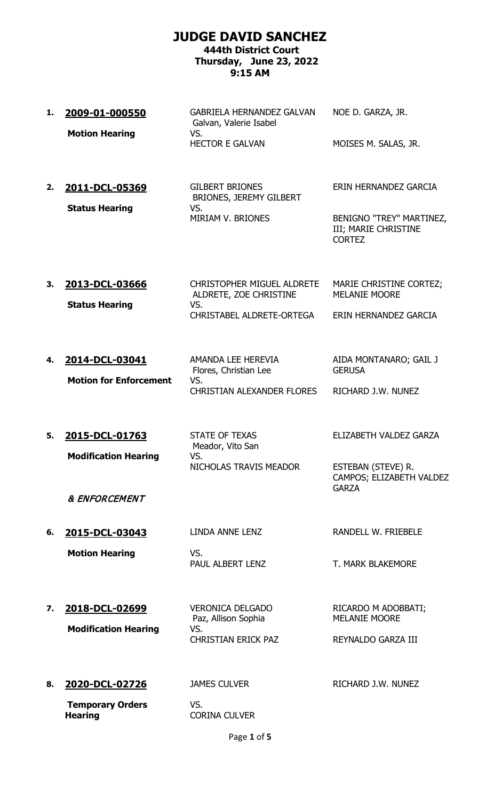## **JUDGE DAVID SANCHEZ**

## **444th District Court Thursday, June 23, 2022 9:15 AM**

- **1. 2009-01-000550** GABRIELA HERNANDEZ GALVAN Galvan, Valerie Isabel NOE D. GARZA, JR. **Motion Hearing WS.** HECTOR E GALVAN MOISES M. SALAS, JR.
- **2. 2011-DCL-05369** GILBERT BRIONES BRIONES, JEREMY GILBERT **Status Hearing VS.**<br>MIRIAM V. BRIONES

ERIN HERNANDEZ GARCIA

BENIGNO "TREY" MARTINEZ, III; MARIE CHRISTINE CORTEZ

**3. 2013-DCL-03666** CHRISTOPHER MIGUEL ALDRETE ALDRETE, ZOE CHRISTINE MARIE CHRISTINE CORTEZ; MELANIE MOORE **Status Hearing** CHRISTABEL ALDRETE-ORTEGA ERIN HERNANDEZ GARCIA

**4. 2014-DCL-03041** AMANDA LEE HEREVIA Flores, Christian Lee AIDA MONTANARO; GAIL J **GERUSA Motion for Enforcement** VS. CHRISTIAN ALEXANDER FLORES RICHARD J.W. NUNEZ

**5. 2015-DCL-01763** STATE OF TEXAS **Modification Hearing VS.** 

Meador, Vito San NICHOLAS TRAVIS MEADOR ESTEBAN (STEVE) R.

ELIZABETH VALDEZ GARZA

CAMPOS; ELIZABETH VALDEZ **GARZA** 

& ENFORCEMENT

**6. 2015-DCL-03043** LINDA ANNE LENZ RANDELL W. FRIEBELE

**Motion Hearing WS.** 

PAUL ALBERT LENZ T. MARK BLAKEMORE

**7. 2018-DCL-02699** VERONICA DELGADO **Modification Hearing VS.** 

Paz, Allison Sophia CHRISTIAN ERICK PAZ REYNALDO GARZA III

8. **2020-DCL-02726** JAMES CULVER RICHARD J.W. NUNEZ

**Temporary Orders Hearing**

VS. CORINA CULVER

RICARDO M ADOBBATI;

MELANIE MOORE

Page **1** of **5**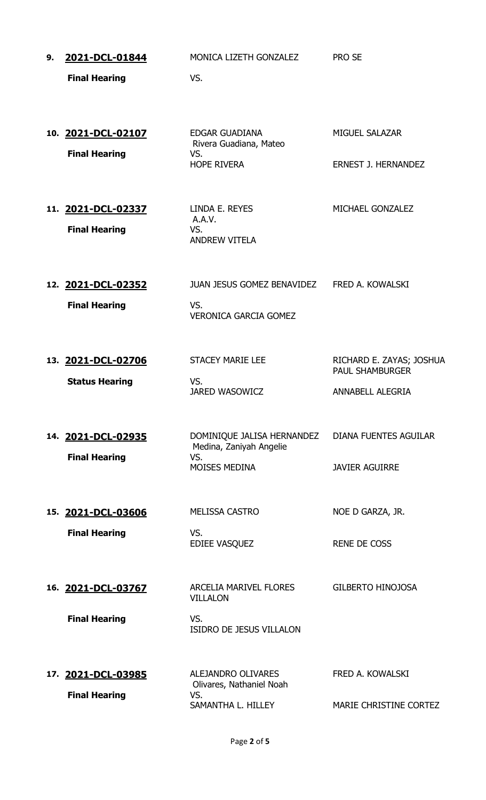| 9. | 2021-DCL-01844<br><b>Final Hearing</b>      | MONICA LIZETH GONZALEZ<br>VS.                                                        | <b>PRO SE</b>                                                          |
|----|---------------------------------------------|--------------------------------------------------------------------------------------|------------------------------------------------------------------------|
|    | 10. 2021-DCL-02107<br><b>Final Hearing</b>  | <b>EDGAR GUADIANA</b><br>Rivera Guadiana, Mateo<br>VS.<br><b>HOPE RIVERA</b>         | <b>MIGUEL SALAZAR</b><br><b>ERNEST J. HERNANDEZ</b>                    |
|    | 11. 2021-DCL-02337<br><b>Final Hearing</b>  | LINDA E. REYES<br>A.A.V.<br>VS.<br><b>ANDREW VITELA</b>                              | MICHAEL GONZALEZ                                                       |
|    | 12. 2021-DCL-02352<br><b>Final Hearing</b>  | JUAN JESUS GOMEZ BENAVIDEZ FRED A. KOWALSKI<br>VS.<br><b>VERONICA GARCIA GOMEZ</b>   |                                                                        |
|    | 13. 2021-DCL-02706<br><b>Status Hearing</b> | <b>STACEY MARIE LEE</b><br>VS.<br><b>JARED WASOWICZ</b>                              | RICHARD E. ZAYAS; JOSHUA<br><b>PAUL SHAMBURGER</b><br>ANNABELL ALEGRIA |
|    | 14. 2021-DCL-02935<br><b>Final Hearing</b>  | DOMINIQUE JALISA HERNANDEZ<br>Medina, Zaniyah Angelie<br>VS.<br><b>MOISES MEDINA</b> | <b>DIANA FUENTES AGUILAR</b><br><b>JAVIER AGUIRRE</b>                  |
|    | 15. 2021-DCL-03606<br><b>Final Hearing</b>  | <b>MELISSA CASTRO</b><br>VS.<br>EDIEE VASQUEZ                                        | NOE D GARZA, JR.<br><b>RENE DE COSS</b>                                |
|    | 16. 2021-DCL-03767<br><b>Final Hearing</b>  | ARCELIA MARIVEL FLORES<br><b>VILLALON</b><br>VS.<br><b>ISIDRO DE JESUS VILLALON</b>  | <b>GILBERTO HINOJOSA</b>                                               |
|    | 17. 2021-DCL-03985<br><b>Final Hearing</b>  | <b>ALEJANDRO OLIVARES</b><br>Olivares, Nathaniel Noah<br>VS.<br>SAMANTHA L. HILLEY   | FRED A. KOWALSKI<br>MARIE CHRISTINE CORTEZ                             |

Page **2** of **5**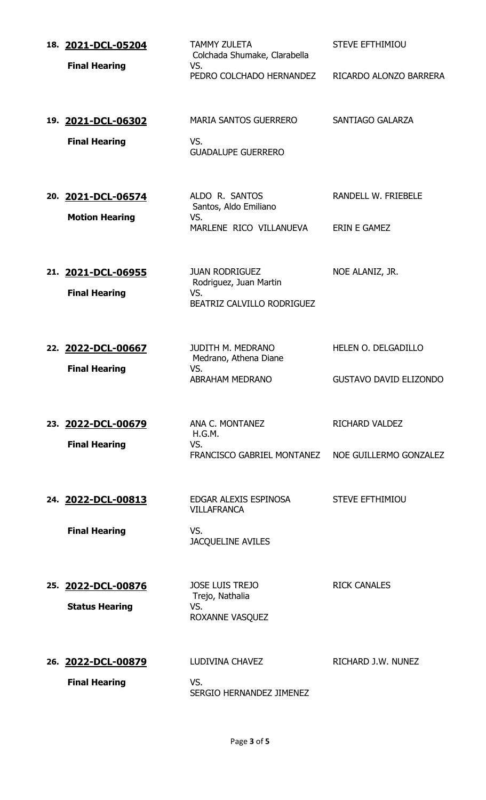| 18. 2021-DCL-05204<br><b>Final Hearing</b>  | <b>TAMMY ZULETA</b><br>Colchada Shumake, Clarabella<br>VS.<br>PEDRO COLCHADO HERNANDEZ | <b>STEVE EFTHIMIOU</b><br>RICARDO ALONZO BARRERA     |
|---------------------------------------------|----------------------------------------------------------------------------------------|------------------------------------------------------|
| 19. 2021-DCL-06302<br><b>Final Hearing</b>  | <b>MARIA SANTOS GUERRERO</b><br>VS.<br><b>GUADALUPE GUERRERO</b>                       | SANTIAGO GALARZA                                     |
| 20. 2021-DCL-06574<br><b>Motion Hearing</b> | ALDO R. SANTOS<br>Santos, Aldo Emiliano<br>VS.<br>MARLENE RICO VILLANUEVA              | RANDELL W. FRIEBELE<br><b>ERIN E GAMEZ</b>           |
| 21. 2021-DCL-06955<br><b>Final Hearing</b>  | <b>JUAN RODRIGUEZ</b><br>Rodriguez, Juan Martin<br>VS.<br>BEATRIZ CALVILLO RODRIGUEZ   | NOE ALANIZ, JR.                                      |
| 22. 2022-DCL-00667<br><b>Final Hearing</b>  | <b>JUDITH M. MEDRANO</b><br>Medrano, Athena Diane<br>VS.<br><b>ABRAHAM MEDRANO</b>     | HELEN O. DELGADILLO<br><b>GUSTAVO DAVID ELIZONDO</b> |
| 23. 2022-DCL-00679<br><b>Final Hearing</b>  | ANA C. MONTANEZ<br>H.G.M.<br>VS.<br>FRANCISCO GABRIEL MONTANEZ                         | <b>RICHARD VALDEZ</b><br>NOE GUILLERMO GONZALEZ      |
| 24. 2022-DCL-00813<br><b>Final Hearing</b>  | EDGAR ALEXIS ESPINOSA<br><b>VILLAFRANCA</b><br>VS.<br><b>JACQUELINE AVILES</b>         | <b>STEVE EFTHIMIOU</b>                               |
| 25. 2022-DCL-00876<br><b>Status Hearing</b> | <b>JOSE LUIS TREJO</b><br>Trejo, Nathalia<br>VS.<br>ROXANNE VASQUEZ                    | <b>RICK CANALES</b>                                  |
| 26. 2022-DCL-00879<br><b>Final Hearing</b>  | LUDIVINA CHAVEZ<br>VS.<br>SERGIO HERNANDEZ JIMENEZ                                     | RICHARD J.W. NUNEZ                                   |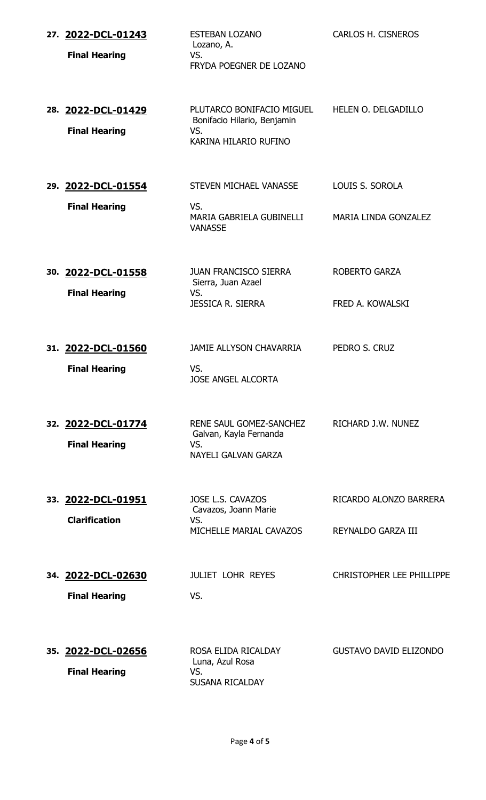| 27. 2022-DCL-01243<br><b>Final Hearing</b> | <b>ESTEBAN LOZANO</b><br>Lozano, A.<br>VS.<br>FRYDA POEGNER DE LOZANO                    | CARLOS H. CISNEROS                           |
|--------------------------------------------|------------------------------------------------------------------------------------------|----------------------------------------------|
| 28. 2022-DCL-01429<br><b>Final Hearing</b> | PLUTARCO BONIFACIO MIGUEL<br>Bonifacio Hilario, Benjamin<br>VS.<br>KARINA HILARIO RUFINO | HELEN O. DELGADILLO                          |
| 29. 2022-DCL-01554<br><b>Final Hearing</b> | STEVEN MICHAEL VANASSE<br>VS.<br>MARIA GABRIELA GUBINELLI<br><b>VANASSE</b>              | LOUIS S. SOROLA<br>MARIA LINDA GONZALEZ      |
| 30. 2022-DCL-01558<br><b>Final Hearing</b> | <b>JUAN FRANCISCO SIERRA</b><br>Sierra, Juan Azael<br>VS.<br><b>JESSICA R. SIERRA</b>    | <b>ROBERTO GARZA</b><br>FRED A. KOWALSKI     |
| 31. 2022-DCL-01560<br><b>Final Hearing</b> | JAMIE ALLYSON CHAVARRIA<br>VS.<br><b>JOSE ANGEL ALCORTA</b>                              | PEDRO S. CRUZ                                |
| 32. 2022-DCL-01774<br><b>Final Hearing</b> | RENE SAUL GOMEZ-SANCHEZ<br>Galvan, Kayla Fernanda<br>VS.<br>NAYELI GALVAN GARZA          | RICHARD J.W. NUNEZ                           |
| 33. 2022-DCL-01951<br><b>Clarification</b> | JOSE L.S. CAVAZOS<br>Cavazos, Joann Marie<br>VS.<br>MICHELLE MARIAL CAVAZOS              | RICARDO ALONZO BARRERA<br>REYNALDO GARZA III |
| 34. 2022-DCL-02630<br><b>Final Hearing</b> | <b>JULIET LOHR REYES</b><br>VS.                                                          | <b>CHRISTOPHER LEE PHILLIPPE</b>             |
| 35. 2022-DCL-02656<br><b>Final Hearing</b> | ROSA ELIDA RICALDAY<br>Luna, Azul Rosa<br>VS.<br><b>SUSANA RICALDAY</b>                  | <b>GUSTAVO DAVID ELIZONDO</b>                |